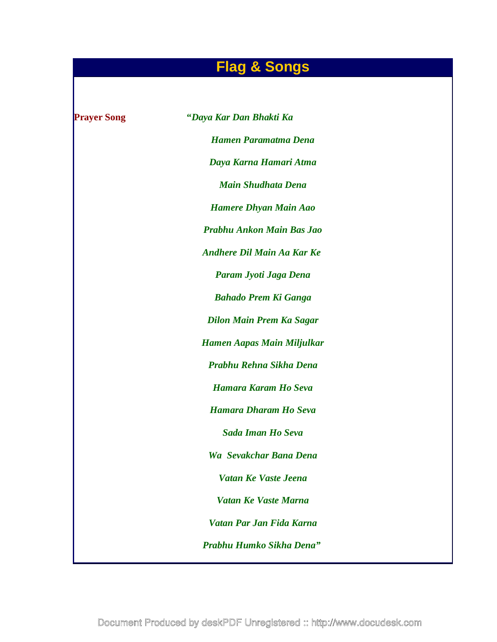# **Flag & Songs**

| <b>Prayer Song</b> | "Daya Kar Dan Bhakti Ka           |
|--------------------|-----------------------------------|
|                    | <b>Hamen Paramatma Dena</b>       |
|                    | Daya Karna Hamari Atma            |
|                    | <b>Main Shudhata Dena</b>         |
|                    | <b>Hamere Dhyan Main Aao</b>      |
|                    | Prabhu Ankon Main Bas Jao         |
|                    | <b>Andhere Dil Main Aa Kar Ke</b> |
|                    | Param Jyoti Jaga Dena             |
|                    | <b>Bahado Prem Ki Ganga</b>       |
|                    | <b>Dilon Main Prem Ka Sagar</b>   |
|                    | Hamen Aapas Main Miljulkar        |
|                    | Prabhu Rehna Sikha Dena           |
|                    | Hamara Karam Ho Seva              |
|                    | <b>Hamara Dharam Ho Seva</b>      |
|                    | <b>Sada Iman Ho Seva</b>          |
|                    | Wa Sevakchar Bana Dena            |
|                    | Vatan Ke Vaste Jeena              |
|                    | Vatan Ke Vaste Marna              |
|                    | Vatan Par Jan Fida Karna          |
|                    | Prabhu Humko Sikha Dena"          |
|                    |                                   |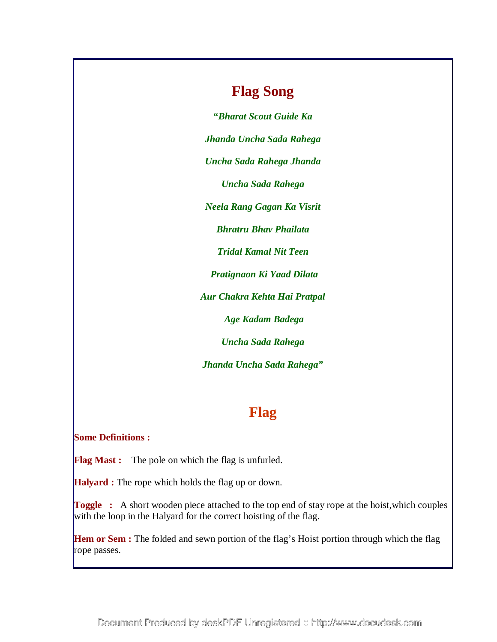## **Flag Song**

**"***Bharat Scout Guide Ka Jhanda Uncha Sada Rahega Uncha Sada Rahega Jhanda Uncha Sada Rahega Neela Rang Gagan Ka Visrit Bhratru Bhav Phailata Tridal Kamal Nit Teen Pratignaon Ki Yaad Dilata Aur Chakra Kehta Hai Pratpal Age Kadam Badega Uncha Sada Rahega Jhanda Uncha Sada Rahega"* 

## **Flag**

### **Some Definitions :**

**Flag Mast :** The pole on which the flag is unfurled.

**Halyard :** The rope which holds the flag up or down.

**Toggle** : A short wooden piece attached to the top end of stay rope at the hoist, which couples with the loop in the Halyard for the correct hoisting of the flag.

**Hem or Sem :** The folded and sewn portion of the flag's Hoist portion through which the flag rope passes.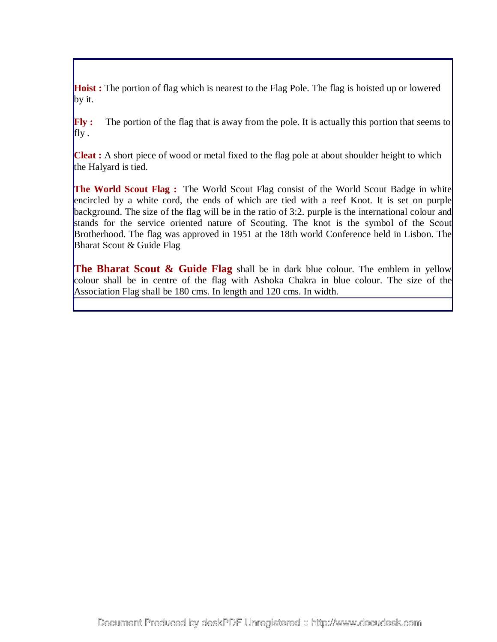**Hoist :** The portion of flag which is nearest to the Flag Pole. The flag is hoisted up or lowered by it.

**Fly :** The portion of the flag that is away from the pole. It is actually this portion that seems to fly.

**Cleat :** A short piece of wood or metal fixed to the flag pole at about shoulder height to which the Halyard is tied.

**The World Scout Flag :** The World Scout Flag consist of the World Scout Badge in white encircled by a white cord, the ends of which are tied with a reef Knot. It is set on purple background. The size of the flag will be in the ratio of 3:2. purple is the international colour and stands for the service oriented nature of Scouting. The knot is the symbol of the Scout Brotherhood. The flag was approved in 1951 at the 18th world Conference held in Lisbon. The Bharat Scout & Guide Flag

**The Bharat Scout & Guide Flag** shall be in dark blue colour. The emblem in yellow colour shall be in centre of the flag with Ashoka Chakra in blue colour. The size of the Association Flag shall be 180 cms. In length and 120 cms. In width.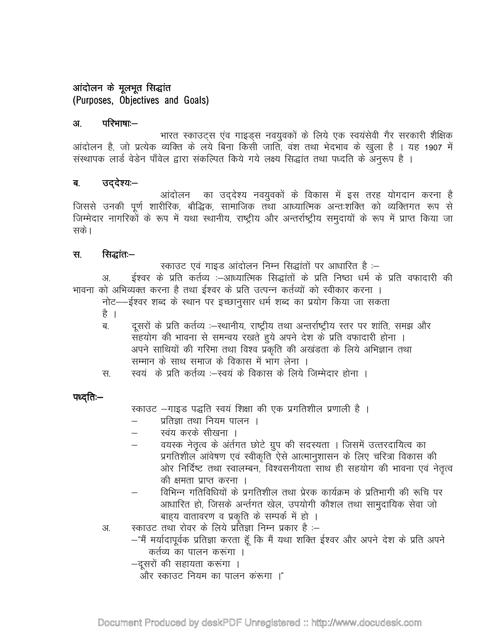### आंदोलन के मूलभूत सिद्धांत (Purposes, Objectives and Goals)

#### परिभाषाः— अ.

भारत स्काउट्स एंव गाइड्स नवयुवकों के लिये एक स्वयंसेवी गैर सरकारी शैक्षिक आंदोलन है, जो प्रत्येक व्यक्ति के लये बिना किसी जाति, वंश तथा भेदभाव के खुला है । यह 1907 में संस्थापक लार्ड वेडेन पाँवेल द्वारा संकल्पित किये गये लक्ष्य सिद्धांत तथा पध्दति के अनुरूप है ।

#### उददेश्य:— ब.

आंदोलन का उद्देश्य नवयुवकों के विकास में इस तरह योगदान करना है जिससे उनकी पूर्ण शारीरिक, बौद्धिक, सामाजिक तथा आध्यात्मिक अन्तःशक्ति को व्यक्तिगत रूप से जिम्मेदार नागरिकों के रूप में यथा स्थानीय, राष्ट्रीय और अन्तर्राष्ट्रीय समुदायों के रूप में प्राप्त किया जा सके।

#### सिद्धांत:– स.

स्काउट एवं गाइड आंदोलन निम्न सिद्धांतों पर आधारित है :– ईश्वर के प्रति कर्तव्य :-आध्यात्मिक सिद्धांतों के प्रति निष्ठा धर्म के प्रति वफादारी की अ. भावना को अभिव्यक्त करना है तथा ईश्वर के प्रति उत्पन्न कर्तव्यों को स्वीकार करना । नोट——ईश्वर शब्द के स्थान पर इच्छानुसार धर्म शब्द का प्रयोग किया जा सकता

- है ।
- दुसरों के प्रति कर्तव्य :–स्थानीय, राष्ट्रीय तथा अन्तर्राष्ट्रीय स्तर पर शांति, समझ और ਕ सहयोग की भावना से समन्वय रखते हुये अपने देश के प्रति वफादारी होना । अपने साथियों की गरिमा तथा विश्व प्रकृति की अखंडता के लिये अभिज्ञान तथा सम्मान के साथ समाज के विकास में भाग लेना ।
- स्वयं के प्रति कर्तव्य :–स्वयं के विकास के लिये जिम्मेदार होना । स.

### पध्दति:—

स्काउट -गाइड पद्धति स्वयं शिक्षा की एक प्रगतिशील प्रणाली है।

- प्रतिज्ञा तथा नियम पालन ।
- स्वंय करके सीखना ।
- वयस्क नेतृत्व के अंर्तगत छोटे ग्रुप की सदस्यता । जिसमें उत्तरदायित्व का प्रगतिशील आंवेषण एवं स्वीकृति ऐसे आत्मानुशासन के लिए चरित्रा विकास की ओर निर्दिष्ट तथा स्वालम्बन, विश्वसनीयता साथ ही सहयोग की भावना एवं नेतृत्व की क्षमता प्राप्त करना ।
- विभिन्न गतिविधियों के प्रगतिशील तथा प्रेरक कार्यक्रम के प्रतिभागी की रूचि पर आधारित हो, जिसके अर्न्तगत खेल, उपयोगी कौशल तथा सामुदायिक सेवा जो बाहय वातावरण व प्रकृति के सम्पर्क में हो ।
- स्काउट तथा रोवर के लिये प्रतिज्ञा निम्न प्रकार है :– अ.
	- -"मैं मर्यादापूर्वक प्रतिज्ञा करता हूँ कि मैं यथा शक्ति ईश्वर और अपने देश के प्रति अपने कर्तव्य का पालन करूंगा ।
	- -दूसरों की सहायता करूंगा ।
		- और स्काउट नियम का पालन करूंगा ।"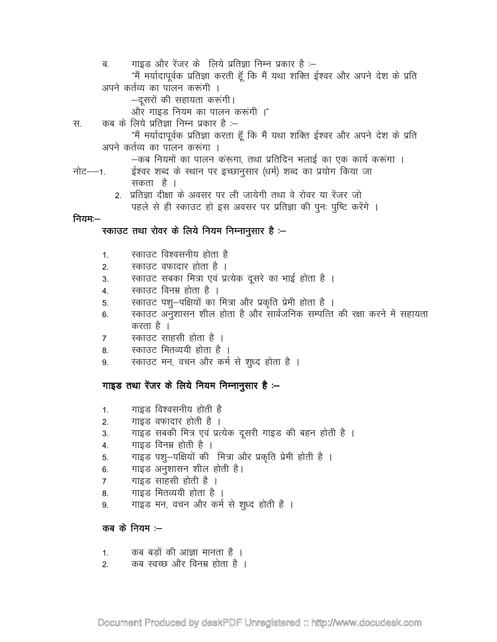गाइड और रेंजर के लिये प्रतिज्ञा निम्न प्रकार है :-ब "मैं मर्यादापूर्वक प्रतिज्ञा करती हूँ कि मैं यथा शक्ति ईश्वर और अपने देश के प्रति अपने कर्तव्य का पालन करूंगी । –दूसरों की सहायता करूंगी। और गाइड नियम का पालन करूंगी ।" कब के लिये प्रतिज्ञा निम्न प्रकार है :--स. "मैं मर्यादापूर्वक प्रतिज्ञा करता हूँ कि मैं यथा शक्ति ईश्वर और अपने देश के प्रति अपने कर्तव्य का पालन करूंगा । –कब नियमों का पालन करूंगा, तथा प्रतिदिन भलाई का एक कार्य करूंगा । ईश्वर शब्द के स्थान पर इच्छानुसार (धर्म) शब्द का प्रयोग किया जा नोट——1 सकता है । 2. प्रतिज्ञा दीक्षा के अवसर पर ली जायेगी तथा वे रोवर या रेंजर जो पहले से ही स्काउट हो इस अवसर पर प्रतिज्ञा की पुनः पुष्टि करेंगे । नियम:— स्काउट तथा रोवर के लिये नियम निम्नानूसार है :-स्काउट विश्वसनीय होता है  $1<sub>1</sub>$ स्काउट वफादार होता है ।  $2.$ स्काउट सबका मित्रा एवं प्रत्येक दूसरे का भाई होता है ।  $\mathcal{S}$ स्काउट विनम्र होता है ।  $\overline{4}$ . स्काउट पशु-पक्षियों का मित्रा और प्रकृति प्रेमी होता है ।  $5<sub>1</sub>$ स्काउट अनुशासन शील होता है और सार्वजनिक सम्पत्ति की रक्षा करने में सहायता  $6.$ करता है । स्काउट साहसी होता है ।  $\overline{7}$ स्काउट मितव्ययी होता है । 8. स्काउट मन, वचन और कर्म से शूध्द होता है । 9. गाइड तथा रेंजर के लिये नियम निम्नानुसार है :-गाइड विश्वसनीय होती है  $1.$ गाइड वफादार होती है ।  $2.$ गाइड सबकी मित्र एवं प्रत्येक दूसरी गाइड की बहन होती है । 3.

- गाइड विनम्र होती है । 4.
- गाइड पशु–पक्षियों की मित्रा और प्रकृति प्रेमी होती है । 5.
- गाइड अनुशासन शील होती है। 6.
- गाइड साहसी होती है ।  $\overline{7}$
- गाइड मितव्ययी होता है । 8.
- गाइड मन, वचन और कर्म से शृध्द होती है । 9.

कब $\vec{a}$  के नियम $\dot{a}$ 

- कब बड़ों की आज्ञा मानता है ।  $1.$
- कब स्वच्छ और विनम्र होता है ।  $\overline{2}$